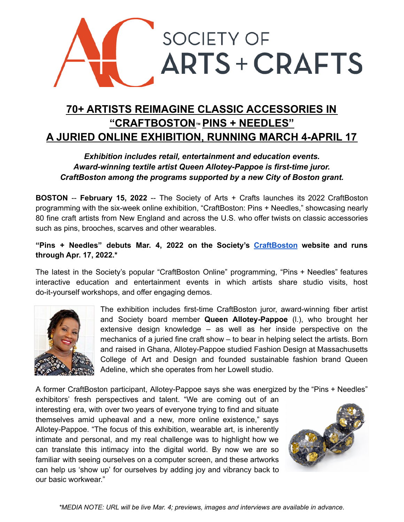

# **70+ ARTISTS REIMAGINE CLASSIC ACCESSORIES IN "CRAFTBOSTON™ PINS + NEEDLES" A JURIED ONLINE EXHIBITION, RUNNING MARCH 4-APRIL 17**

# *Exhibition includes retail, entertainment and education events. Award-winning textile artist Queen Allotey-Pappoe is first-time juror. CraftBoston among the programs supported by a new City of Boston grant.*

**BOSTON** -- **February 15, 2022** -- The Society of Arts + Crafts launches its 2022 CraftBoston programming with the six-week online exhibition, "CraftBoston: Pins + Needles," showcasing nearly 80 fine craft artists from New England and across the U.S. who offer twists on classic accessories such as pins, brooches, scarves and other wearables.

### **"Pins + Needles" debuts Mar. 4, 2022 on the Society's [CraftBoston](https://societyofcrafts.org/pins-and-needles/) website and runs through Apr. 17, 2022.\***

The latest in the Society's popular "CraftBoston Online" programming, "Pins + Needles" features interactive education and entertainment events in which artists share studio visits, host do-it-yourself workshops, and offer engaging demos.



The exhibition includes first-time CraftBoston juror, award-winning fiber artist and Society board member **Queen Allotey-Pappoe** (l.), who brought her extensive design knowledge – as well as her inside perspective on the mechanics of a juried fine craft show – to bear in helping select the artists. Born and raised in Ghana, Allotey-Pappoe studied Fashion Design at Massachusetts College of Art and Design and founded sustainable fashion brand Queen Adeline, which she operates from her Lowell studio.

A former CraftBoston participant, Allotey-Pappoe says she was energized by the "Pins + Needles"

exhibitors' fresh perspectives and talent. "We are coming out of an interesting era, with over two years of everyone trying to find and situate themselves amid upheaval and a new, more online existence," says Allotey-Pappoe. "The focus of this exhibition, wearable art, is inherently intimate and personal, and my real challenge was to highlight how we can translate this intimacy into the digital world. By now we are so familiar with seeing ourselves on a computer screen, and these artworks can help us 'show up' for ourselves by adding joy and vibrancy back to our basic workwear."



*\*MEDIA NOTE: URL will be live Mar. 4; previews, images and interviews are available in advance.*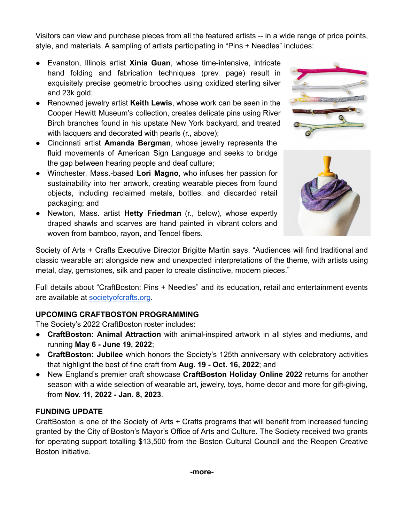Visitors can view and purchase pieces from all the featured artists -- in a wide range of price points, style, and materials. A sampling of artists participating in "Pins + Needles" includes:

- Evanston, Illinois artist **Xinia Guan**, whose time-intensive, intricate hand folding and fabrication techniques (prev. page) result in exquisitely precise geometric brooches using oxidized sterling silver and 23k gold;
- Renowned jewelry artist **Keith Lewis**, whose work can be seen in the Cooper Hewitt Museum's collection, creates delicate pins using River Birch branches found in his upstate New York backyard, and treated with lacquers and decorated with pearls (r., above);
- Cincinnati artist **Amanda Bergman**, whose jewelry represents the fluid movements of American Sign Language and seeks to bridge the gap between hearing people and deaf culture;
- Winchester, Mass.-based **Lori Magno**, who infuses her passion for sustainability into her artwork, creating wearable pieces from found objects, including reclaimed metals, bottles, and discarded retail packaging; and
- Newton, Mass. artist **Hetty Friedman** (r., below), whose expertly draped shawls and scarves are hand painted in vibrant colors and woven from bamboo, rayon, and Tencel fibers.





Society of Arts + Crafts Executive Director Brigitte Martin says, "Audiences will find traditional and classic wearable art alongside new and unexpected interpretations of the theme, with artists using metal, clay, gemstones, silk and paper to create distinctive, modern pieces."

Full details about "CraftBoston: Pins + Needles" and its education, retail and entertainment events are available at **[societyofcrafts.org](https://societyofcrafts.org/)**.

## **UPCOMING CRAFTBOSTON PROGRAMMING**

The Society's 2022 CraftBoston roster includes:

- **CraftBoston: Animal Attraction** with animal-inspired artwork in all styles and mediums, and running **May 6 - June 19, 2022**;
- **CraftBoston: Jubilee** which honors the Society's 125th anniversary with celebratory activities that highlight the best of fine craft from **Aug. 19 - Oct. 16, 2022**; and
- New England's premier craft showcase **CraftBoston Holiday Online 2022** returns for another season with a wide selection of wearable art, jewelry, toys, home decor and more for gift-giving, from **Nov. 11, 2022 - Jan. 8, 2023**.

#### **FUNDING UPDATE**

CraftBoston is one of the Society of Arts + Crafts programs that will benefit from increased funding granted by the City of Boston's Mayor's Office of Arts and Culture. The Society received two grants for operating support totalling \$13,500 from the Boston Cultural Council and the Reopen Creative Boston initiative.